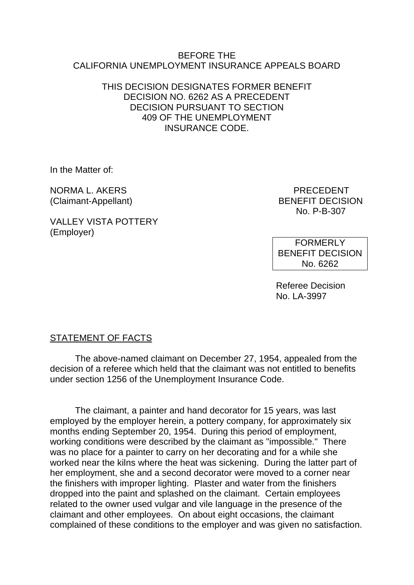#### BEFORE THE CALIFORNIA UNEMPLOYMENT INSURANCE APPEALS BOARD

# THIS DECISION DESIGNATES FORMER BENEFIT DECISION NO. 6262 AS A PRECEDENT DECISION PURSUANT TO SECTION 409 OF THE UNEMPLOYMENT INSURANCE CODE.

In the Matter of:

NORMA L. AKERS PRECEDENT

VALLEY VISTA POTTERY (Employer)

(Claimant-Appellant) BENEFIT DECISION No. P-B-307

> FORMERLY BENEFIT DECISION No. 6262

Referee Decision No. LA-3997

# STATEMENT OF FACTS

The above-named claimant on December 27, 1954, appealed from the decision of a referee which held that the claimant was not entitled to benefits under section 1256 of the Unemployment Insurance Code.

The claimant, a painter and hand decorator for 15 years, was last employed by the employer herein, a pottery company, for approximately six months ending September 20, 1954. During this period of employment, working conditions were described by the claimant as "impossible." There was no place for a painter to carry on her decorating and for a while she worked near the kilns where the heat was sickening. During the latter part of her employment, she and a second decorator were moved to a corner near the finishers with improper lighting. Plaster and water from the finishers dropped into the paint and splashed on the claimant. Certain employees related to the owner used vulgar and vile language in the presence of the claimant and other employees. On about eight occasions, the claimant complained of these conditions to the employer and was given no satisfaction.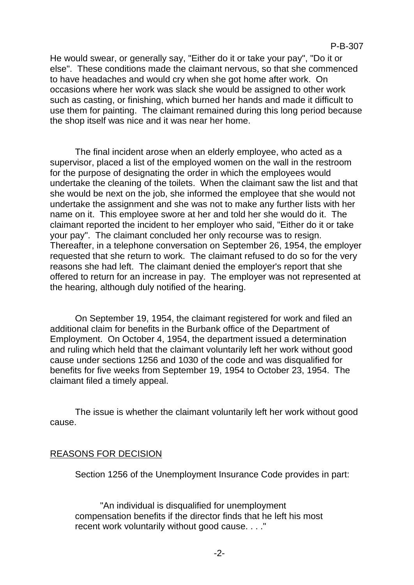He would swear, or generally say, "Either do it or take your pay", "Do it or else". These conditions made the claimant nervous, so that she commenced to have headaches and would cry when she got home after work. On occasions where her work was slack she would be assigned to other work such as casting, or finishing, which burned her hands and made it difficult to use them for painting. The claimant remained during this long period because the shop itself was nice and it was near her home.

The final incident arose when an elderly employee, who acted as a supervisor, placed a list of the employed women on the wall in the restroom for the purpose of designating the order in which the employees would undertake the cleaning of the toilets. When the claimant saw the list and that she would be next on the job, she informed the employee that she would not undertake the assignment and she was not to make any further lists with her name on it. This employee swore at her and told her she would do it. The claimant reported the incident to her employer who said, "Either do it or take your pay". The claimant concluded her only recourse was to resign. Thereafter, in a telephone conversation on September 26, 1954, the employer requested that she return to work. The claimant refused to do so for the very reasons she had left. The claimant denied the employer's report that she offered to return for an increase in pay. The employer was not represented at the hearing, although duly notified of the hearing.

On September 19, 1954, the claimant registered for work and filed an additional claim for benefits in the Burbank office of the Department of Employment. On October 4, 1954, the department issued a determination and ruling which held that the claimant voluntarily left her work without good cause under sections 1256 and 1030 of the code and was disqualified for benefits for five weeks from September 19, 1954 to October 23, 1954. The claimant filed a timely appeal.

The issue is whether the claimant voluntarily left her work without good cause.

## REASONS FOR DECISION

Section 1256 of the Unemployment Insurance Code provides in part:

"An individual is disqualified for unemployment compensation benefits if the director finds that he left his most recent work voluntarily without good cause. . . ."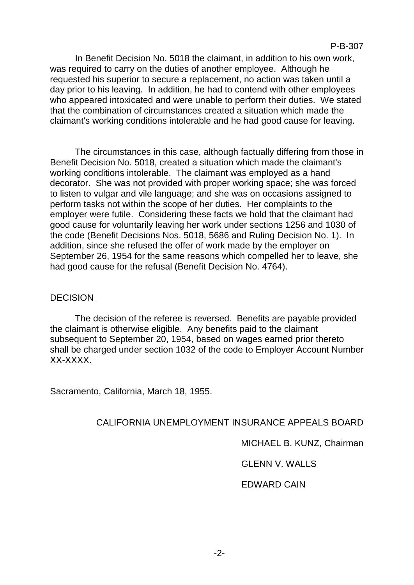In Benefit Decision No. 5018 the claimant, in addition to his own work, was required to carry on the duties of another employee. Although he requested his superior to secure a replacement, no action was taken until a day prior to his leaving. In addition, he had to contend with other employees who appeared intoxicated and were unable to perform their duties. We stated that the combination of circumstances created a situation which made the claimant's working conditions intolerable and he had good cause for leaving.

The circumstances in this case, although factually differing from those in Benefit Decision No. 5018, created a situation which made the claimant's working conditions intolerable. The claimant was employed as a hand decorator. She was not provided with proper working space; she was forced to listen to vulgar and vile language; and she was on occasions assigned to perform tasks not within the scope of her duties. Her complaints to the employer were futile. Considering these facts we hold that the claimant had good cause for voluntarily leaving her work under sections 1256 and 1030 of the code (Benefit Decisions Nos. 5018, 5686 and Ruling Decision No. 1). In addition, since she refused the offer of work made by the employer on September 26, 1954 for the same reasons which compelled her to leave, she had good cause for the refusal (Benefit Decision No. 4764).

# DECISION

The decision of the referee is reversed. Benefits are payable provided the claimant is otherwise eligible. Any benefits paid to the claimant subsequent to September 20, 1954, based on wages earned prior thereto shall be charged under section 1032 of the code to Employer Account Number XX-XXXX.

Sacramento, California, March 18, 1955.

## CALIFORNIA UNEMPLOYMENT INSURANCE APPEALS BOARD

MICHAEL B. KUNZ, Chairman

GLENN V. WALLS

## EDWARD CAIN